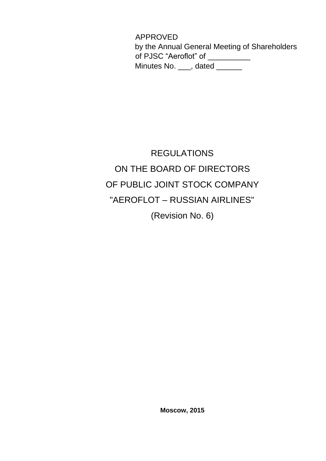APPROVED by the Annual General Meeting of Shareholders of PJSC "Aeroflot" of \_\_\_\_\_\_\_\_\_\_ Minutes No. \_\_\_, dated \_\_\_\_\_\_

# REGULATIONS ON THE BOARD OF DIRECTORS OF PUBLIC JOINT STOCK COMPANY "AEROFLOT – RUSSIAN AIRLINES" (Revision No. 6)

**Moscow, 2015**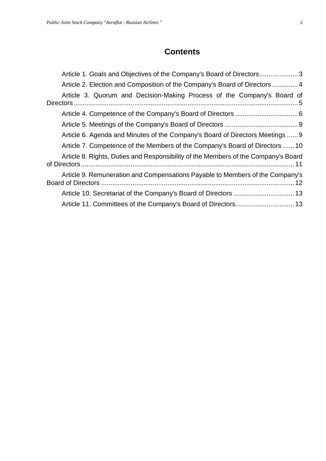# **Contents**

| Article 1. Goals and Objectives of the Company's Board of Directors3               |
|------------------------------------------------------------------------------------|
| Article 2. Election and Composition of the Company's Board of Directors  4         |
| Article 3. Quorum and Decision-Making Process of the Company's Board of            |
|                                                                                    |
|                                                                                    |
| Article 6. Agenda and Minutes of the Company's Board of Directors Meetings  9      |
| Article 7. Competence of the Members of the Company's Board of Directors  10       |
| Article 8. Rights, Duties and Responsibility of the Members of the Company's Board |
| Article 9. Remuneration and Compensations Payable to Members of the Company's      |
|                                                                                    |
|                                                                                    |
|                                                                                    |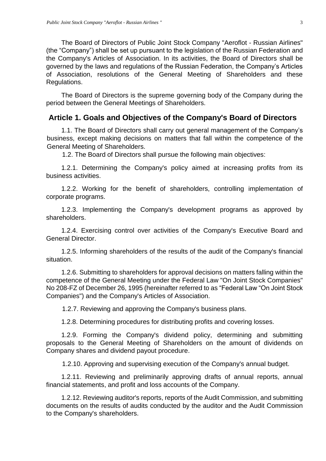The Board of Directors of Public Joint Stock Company "Aeroflot - Russian Airlines" (the "Company") shall be set up pursuant to the legislation of the Russian Federation and the Company's Articles of Association. In its activities, the Board of Directors shall be governed by the laws and regulations of the Russian Federation, the Company's Articles of Association, resolutions of the General Meeting of Shareholders and these Regulations.

The Board of Directors is the supreme governing body of the Company during the period between the General Meetings of Shareholders.

#### <span id="page-2-0"></span>**Article 1. Goals and Objectives of the Company's Board of Directors**

1.1. The Board of Directors shall carry out general management of the Company's business, except making decisions on matters that fall within the competence of the General Meeting of Shareholders.

1.2. The Board of Directors shall pursue the following main objectives:

1.2.1. Determining the Company's policy aimed at increasing profits from its business activities.

1.2.2. Working for the benefit of shareholders, controlling implementation of corporate programs.

1.2.3. Implementing the Company's development programs as approved by shareholders.

1.2.4. Exercising control over activities of the Company's Executive Board and General Director.

1.2.5. Informing shareholders of the results of the audit of the Company's financial situation.

1.2.6. Submitting to shareholders for approval decisions on matters falling within the competence of the General Meeting under the Federal Law "On Joint Stock Companies" No 208-FZ of December 26, 1995 (hereinafter referred to as "Federal Law "On Joint Stock Companies") and the Company's Articles of Association.

1.2.7. Reviewing and approving the Company's business plans.

1.2.8. Determining procedures for distributing profits and covering losses.

1.2.9. Forming the Company's dividend policy, determining and submitting proposals to the General Meeting of Shareholders on the amount of dividends on Company shares and dividend payout procedure.

1.2.10. Approving and supervising execution of the Company's annual budget.

1.2.11. Reviewing and preliminarily approving drafts of annual reports, annual financial statements, and profit and loss accounts of the Company.

1.2.12. Reviewing auditor's reports, reports of the Audit Commission, and submitting documents on the results of audits conducted by the auditor and the Audit Commission to the Company's shareholders.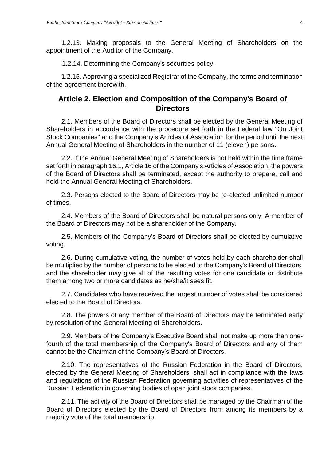1.2.13. Making proposals to the General Meeting of Shareholders on the appointment of the Auditor of the Company.

1.2.14. Determining the Company's securities policy.

1.2.15. Approving a specialized Registrar of the Company, the terms and termination of the agreement therewith.

### <span id="page-3-0"></span>**Article 2. Election and Composition of the Company's Board of Directors**

2.1. Members of the Board of Directors shall be elected by the General Meeting of Shareholders in accordance with the procedure set forth in the Federal law "On Joint Stock Companies" and the Company's Articles of Association for the period until the next Annual General Meeting of Shareholders in the number of 11 (eleven) persons**.** 

2.2. If the Annual General Meeting of Shareholders is not held within the time frame set forth in paragraph 16.1, Article 16 of the Company's Articles of Association, the powers of the Board of Directors shall be terminated, except the authority to prepare, call and hold the Annual General Meeting of Shareholders.

2.3. Persons elected to the Board of Directors may be re-elected unlimited number of times.

2.4. Members of the Board of Directors shall be natural persons only. A member of the Board of Directors may not be a shareholder of the Company.

2.5. Members of the Company's Board of Directors shall be elected by cumulative voting.

2.6. During cumulative voting, the number of votes held by each shareholder shall be multiplied by the number of persons to be elected to the Company's Board of Directors, and the shareholder may give all of the resulting votes for one candidate or distribute them among two or more candidates as he/she/it sees fit.

2.7. Candidates who have received the largest number of votes shall be considered elected to the Board of Directors.

2.8. The powers of any member of the Board of Directors may be terminated early by resolution of the General Meeting of Shareholders.

2.9. Members of the Company's Executive Board shall not make up more than onefourth of the total membership of the Company's Board of Directors and any of them cannot be the Chairman of the Company's Board of Directors.

2.10. The representatives of the Russian Federation in the Board of Directors, elected by the General Meeting of Shareholders, shall act in compliance with the laws and regulations of the Russian Federation governing activities of representatives of the Russian Federation in governing bodies of open joint stock companies.

2.11. The activity of the Board of Directors shall be managed by the Chairman of the Board of Directors elected by the Board of Directors from among its members by a majority vote of the total membership.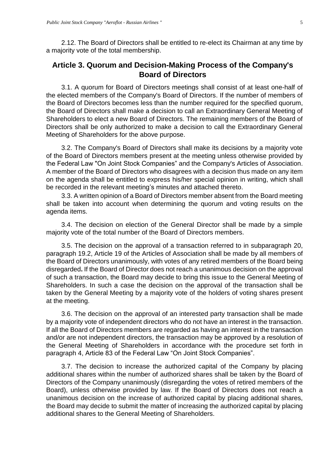2.12. The Board of Directors shall be entitled to re-elect its Chairman at any time by a majority vote of the total membership.

### <span id="page-4-0"></span>**Article 3. Quorum and Decision-Making Process of the Company's Board of Directors**

3.1. A quorum for Board of Directors meetings shall consist of at least one-half of the elected members of the Company's Board of Directors. If the number of members of the Board of Directors becomes less than the number required for the specified quorum, the Board of Directors shall make a decision to call an Extraordinary General Meeting of Shareholders to elect a new Board of Directors. The remaining members of the Board of Directors shall be only authorized to make a decision to call the Extraordinary General Meeting of Shareholders for the above purpose.

3.2. The Company's Board of Directors shall make its decisions by a majority vote of the Board of Directors members present at the meeting unless otherwise provided by the Federal Law "On Joint Stock Companies" and the Company's Articles of Association. A member of the Board of Directors who disagrees with a decision thus made on any item on the agenda shall be entitled to express his/her special opinion in writing, which shall be recorded in the relevant meeting's minutes and attached thereto.

3.3. A written opinion of a Board of Directors member absent from the Board meeting shall be taken into account when determining the quorum and voting results on the agenda items.

3.4. The decision on election of the General Director shall be made by a simple majority vote of the total number of the Board of Directors members.

3.5. The decision on the approval of a transaction referred to in subparagraph 20, paragraph 19.2, Article 19 of the Articles of Association shall be made by all members of the Board of Directors unanimously, with votes of any retired members of the Board being disregarded**.** If the Board of Director does not reach a unanimous decision on the approval of such a transaction, the Board may decide to bring this issue to the General Meeting of Shareholders. In such a case the decision on the approval of the transaction shall be taken by the General Meeting by a majority vote of the holders of voting shares present at the meeting.

3.6. The decision on the approval of an interested party transaction shall be made by a majority vote of independent directors who do not have an interest in the transaction. If all the Board of Directors members are regarded as having an interest in the transaction and/or are not independent directors, the transaction may be approved by a resolution of the General Meeting of Shareholders in accordance with the procedure set forth in paragraph 4, Article 83 of the Federal Law "On Joint Stock Companies".

3.7. The decision to increase the authorized capital of the Company by placing additional shares within the number of authorized shares shall be taken by the Board of Directors of the Company unanimously (disregarding the votes of retired members of the Board), unless otherwise provided by law. If the Board of Directors does not reach a unanimous decision on the increase of authorized capital by placing additional shares, the Board may decide to submit the matter of increasing the authorized capital by placing additional shares to the General Meeting of Shareholders.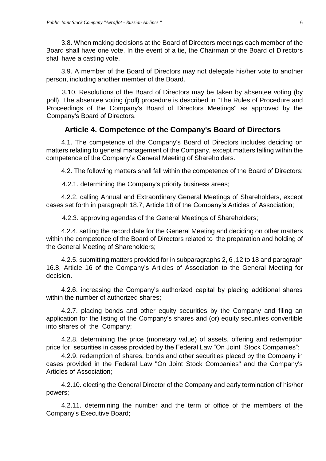3.8. When making decisions at the Board of Directors meetings each member of the Board shall have one vote. In the event of a tie, the Chairman of the Board of Directors shall have a casting vote.

3.9. A member of the Board of Directors may not delegate his/her vote to another person, including another member of the Board.

3.10. Resolutions of the Board of Directors may be taken by absentee voting (by poll). The absentee voting (poll) procedure is described in "The Rules of Procedure and Proceedings of the Company's Board of Directors Meetings" as approved by the Company's Board of Directors.

# **Article 4. Competence of the Company's Board of Directors**

<span id="page-5-0"></span>4.1. The competence of the Company's Board of Directors includes deciding on matters relating to general management of the Company, except matters falling within the competence of the Company's General Meeting of Shareholders.

4.2. The following matters shall fall within the competence of the Board of Directors:

4.2.1. determining the Company's priority business areas;

4.2.2. calling Annual and Extraordinary General Meetings of Shareholders, except cases set forth in paragraph 18.7, Article 18 of the Company's Articles of Association;

4.2.3. approving agendas of the General Meetings of Shareholders;

4.2.4. setting the record date for the General Meeting and deciding on other matters within the competence of the Board of Directors related to the preparation and holding of the General Meeting of Shareholders;

4.2.5. submitting matters provided for in subparagraphs 2, 6 ,12 to 18 and paragraph 16.8, Article 16 of the Company's Articles of Association to the General Meeting for decision.

4.2.6. increasing the Company's authorized capital by placing additional shares within the number of authorized shares:

4.2.7. placing bonds and other equity securities by the Company and filing an application for the listing of the Company's shares and (or) equity securities convertible into shares of the Company;

4.2.8. determining the price (monetary value) of assets, offering and redemption price for securities in cases provided by the Federal Law "On Joint Stock Companies";

4.2.9. redemption of shares, bonds and other securities placed by the Company in cases provided in the Federal Law "On Joint Stock Companies" and the Company's Articles of Association;

4.2.10. electing the General Director of the Company and early termination of his/her powers;

4.2.11. determining the number and the term of office of the members of the Company's Executive Board;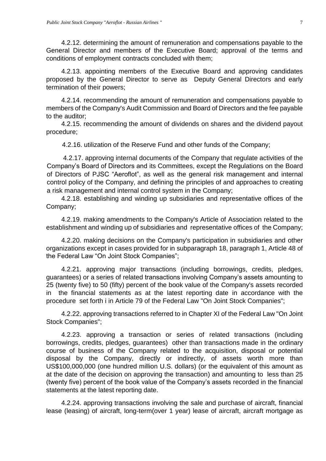4.2.12. determining the amount of remuneration and compensations payable to the General Director and members of the Executive Board; approval of the terms and conditions of employment contracts concluded with them;

4.2.13. appointing members of the Executive Board and approving candidates proposed by the General Director to serve as Deputy General Directors and early termination of their powers;

4.2.14. recommending the amount of remuneration and compensations payable to members of the Company's Audit Commission and Board of Directors and the fee payable to the auditor;

4.2.15. recommending the amount of dividends on shares and the dividend payout procedure;

4.2.16. utilization of the Reserve Fund and other funds of the Company;

4.2.17. approving internal documents of the Company that regulate activities of the Company's Board of Directors and its Committees, except the Regulations on the Board of Directors of PJSC "Aeroflot", as well as the general risk management and internal control policy of the Company, and defining the principles of and approaches to creating a risk management and internal control system in the Company;

4.2.18. establishing and winding up subsidiaries and representative offices of the Company;

4.2.19. making amendments to the Company's Article of Association related to the establishment and winding up of subsidiaries and representative offices of the Company;

4.2.20. making decisions on the Company's participation in subsidiaries and other organizations except in cases provided for in subparagraph 18, paragraph 1, Article 48 of the Federal Law "On Joint Stock Companies";

4.2.21. approving major transactions (including borrowings, credits, pledges, guarantees) or a series of related transactions involving Company's assets amounting to 25 (twenty five) to 50 (fifty) percent of the book value of the Company's assets recorded in the financial statements as at the latest reporting date in accordance with the procedure set forth i in Article 79 of the Federal Law "On Joint Stock Companies";

4.2.22. approving transactions referred to in Chapter XI of the Federal Law "On Joint Stock Companies";

4.2.23. approving a transaction or series of related transactions (including borrowings, credits, pledges, guarantees) other than transactions made in the ordinary course of business of the Company related to the acquisition, disposal or potential disposal by the Company, directly or indirectly, of assets worth more than US\$100,000,000 (one hundred million U.S. dollars) (or the equivalent of this amount as at the date of the decision on approving the transaction) and amounting to less than 25 (twenty five) percent of the book value of the Company's assets recorded in the financial statements at the latest reporting date.

4.2.24. approving transactions involving the sale and purchase of aircraft, financial lease (leasing) of aircraft, long-term(over 1 year) lease of aircraft, aircraft mortgage as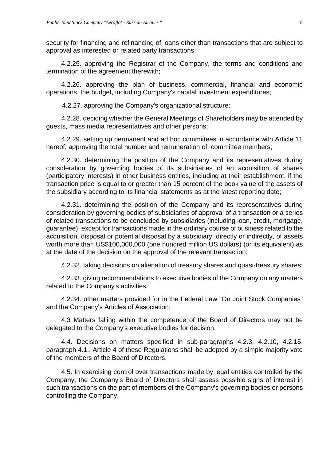security for financing and refinancing of loans other than transactions that are subject to approval as interested or related party transactions;

4.2.25. approving the Registrar of the Company, the terms and conditions and termination of the agreement therewith;

4.2.26. approving the plan of business, commercial, financial and economic operations, the budget, including Company's capital investment expenditures;

4.2.27. approving the Company's organizational structure;

4.2.28. deciding whether the General Meetings of Shareholders may be attended by guests, mass media representatives and other persons;

4.2.29. setting up permanent and ad hoc committees in accordance with Article 11 hereof, approving the total number and remuneration of committee members;

4.2.30. determining the position of the Company and its representatives during consideration by governing bodies of its subsidiaries of an acquisition of shares (participatory interests) in other business entities, including at their establishment, if the transaction price is equal to or greater than 15 percent of the book value of the assets of the subsidiary according to its financial statements as at the latest reporting date;

4.2.31. determining the position of the Company and its representatives during consideration by governing bodies of subsidiaries of approval of a transaction or a series of related transactions to be concluded by subsidiaries (including loan, credit, mortgage, guarantee), except for transactions made in the ordinary course of business related to the acquisition, disposal or potential disposal by a subsidiary, directly or indirectly, of assets worth more than US\$100,000,000 (one hundred million US dollars) (or its equivalent) as at the date of the decision on the approval of the relevant transaction;

4.2.32. taking decisions on alienation of treasury shares and quasi-treasury shares;

4.2.33. giving recommendations to executive bodies of the Company on any matters related to the Company's activities;

4.2.34. other matters provided for in the Federal Law "On Joint Stock Companies" and the Company's Articles of Association;

4.3 Matters falling within the competence of the Board of Directors may not be delegated to the Company's executive bodies for decision.

4.4. Decisions on matters specified in sub-paragraphs 4.2.3, 4.2.10, 4.2.15, paragraph 4.1., Article 4 of these Regulations shall be adopted by a simple majority vote of the members of the Board of Directors.

4.5. In exercising control over transactions made by legal entities controlled by the Company, the Company's Board of Directors shall assess possible signs of interest in such transactions on the part of members of the Company's governing bodies or persons controlling the Company.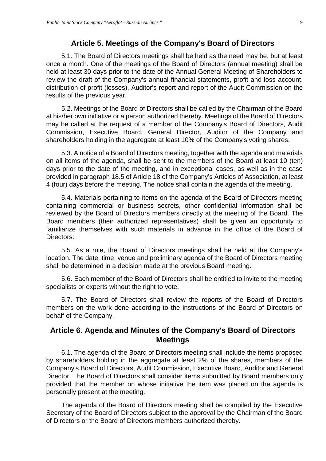#### **Article 5. Meetings of the Company's Board of Directors**

<span id="page-8-0"></span>5.1. The Board of Directors meetings shall be held as the need may be, but at least once a month. One of the meetings of the Board of Directors (annual meeting) shall be held at least 30 days prior to the date of the Annual General Meeting of Shareholders to review the draft of the Company's annual financial statements, profit and loss account, distribution of profit (losses), Auditor's report and report of the Audit Commission on the results of the previous year.

5.2. Meetings of the Board of Directors shall be called by the Chairman of the Board at his/her own initiative or a person authorized thereby. Meetings of the Board of Directors may be called at the request of a member of the Company's Board of Directors, Audit Commission, Executive Board, General Director, Auditor of the Company and shareholders holding in the aggregate at least 10% of the Company's voting shares.

5.3. A notice of a Board of Directors meeting, together with the agenda and materials on all items of the agenda, shall be sent to the members of the Board at least 10 (ten) days prior to the date of the meeting, and in exceptional cases, as well as in the case provided in paragraph 18.5 of Article 18 of the Company's Articles of Association, at least 4 (four) days before the meeting. The notice shall contain the agenda of the meeting.

5.4. Materials pertaining to items on the agenda of the Board of Directors meeting containing commercial or business secrets, other confidential information shall be reviewed by the Board of Directors members directly at the meeting of the Board. The Board members (their authorized representatives) shall be given an opportunity to familiarize themselves with such materials in advance in the office of the Board of Directors.

5.5. As a rule, the Board of Directors meetings shall be held at the Company's location. The date, time, venue and preliminary agenda of the Board of Directors meeting shall be determined in a decision made at the previous Board meeting.

5.6. Each member of the Board of Directors shall be entitled to invite to the meeting specialists or experts without the right to vote.

5.7. The Board of Directors shall review the reports of the Board of Directors members on the work done according to the instructions of the Board of Directors on behalf of the Company.

#### <span id="page-8-1"></span>**Article 6. Agenda and Minutes of the Company's Board of Directors Meetings**

6.1. The agenda of the Board of Directors meeting shall include the items proposed by shareholders holding in the aggregate at least 2% of the shares, members of the Company's Board of Directors, Audit Commission, Executive Board, Auditor and General Director. The Board of Directors shall consider items submitted by Board members only provided that the member on whose initiative the item was placed on the agenda is personally present at the meeting.

The agenda of the Board of Directors meeting shall be compiled by the Executive Secretary of the Board of Directors subject to the approval by the Chairman of the Board of Directors or the Board of Directors members authorized thereby.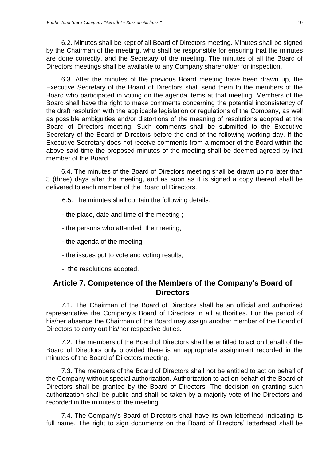6.2. Minutes shall be kept of all Board of Directors meeting. Minutes shall be signed by the Chairman of the meeting, who shall be responsible for ensuring that the minutes are done correctly, and the Secretary of the meeting. The minutes of all the Board of Directors meetings shall be available to any Company shareholder for inspection.

6.3. After the minutes of the previous Board meeting have been drawn up, the Executive Secretary of the Board of Directors shall send them to the members of the Board who participated in voting on the agenda items at that meeting. Members of the Board shall have the right to make comments concerning the potential inconsistency of the draft resolution with the applicable legislation or regulations of the Company, as well as possible ambiguities and/or distortions of the meaning of resolutions adopted at the Board of Directors meeting. Such comments shall be submitted to the Executive Secretary of the Board of Directors before the end of the following working day. If the Executive Secretary does not receive comments from a member of the Board within the above said time the proposed minutes of the meeting shall be deemed agreed by that member of the Board.

6.4. The minutes of the Board of Directors meeting shall be drawn up no later than 3 (three) days after the meeting, and as soon as it is signed a copy thereof shall be delivered to each member of the Board of Directors.

- 6.5. The minutes shall contain the following details:
- the place, date and time of the meeting ;
- the persons who attended the meeting;
- the agenda of the meeting;
- the issues put to vote and voting results;
- the resolutions adopted.

## <span id="page-9-0"></span>**Article 7. Competence of the Members of the Company's Board of Directors**

7.1. The Chairman of the Board of Directors shall be an official and authorized representative the Company's Board of Directors in all authorities. For the period of his/her absence the Chairman of the Board may assign another member of the Board of Directors to carry out his/her respective duties.

7.2. The members of the Board of Directors shall be entitled to act on behalf of the Board of Directors only provided there is an appropriate assignment recorded in the minutes of the Board of Directors meeting.

7.3. The members of the Board of Directors shall not be entitled to act on behalf of the Company without special authorization. Authorization to act on behalf of the Board of Directors shall be granted by the Board of Directors. The decision on granting such authorization shall be public and shall be taken by a majority vote of the Directors and recorded in the minutes of the meeting.

7.4. The Company's Board of Directors shall have its own letterhead indicating its full name. The right to sign documents on the Board of Directors' letterhead shall be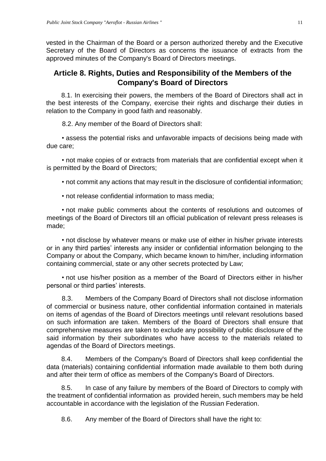vested in the Chairman of the Board or a person authorized thereby and the Executive Secretary of the Board of Directors as concerns the issuance of extracts from the approved minutes of the Company's Board of Directors meetings.

## <span id="page-10-0"></span>**Article 8. Rights, Duties and Responsibility of the Members of the Company's Board of Directors**

8.1. In exercising their powers, the members of the Board of Directors shall act in the best interests of the Company, exercise their rights and discharge their duties in relation to the Company in good faith and reasonably.

8.2. Any member of the Board of Directors shall:

• assess the potential risks and unfavorable impacts of decisions being made with due care;

• not make copies of or extracts from materials that are confidential except when it is permitted by the Board of Directors;

• not commit any actions that may result in the disclosure of confidential information;

• not release confidential information to mass media;

• not make public comments about the contents of resolutions and outcomes of meetings of the Board of Directors till an official publication of relevant press releases is made;

• not disclose by whatever means or make use of either in his/her private interests or in any third parties' interests any insider or confidential information belonging to the Company or about the Company, which became known to him/her, including information containing commercial, state or any other secrets protected by Law;

• not use his/her position as a member of the Board of Directors either in his/her personal or third parties' interests.

8.3. Members of the Company Board of Directors shall not disclose information of commercial or business nature, other confidential information contained in materials on items of agendas of the Board of Directors meetings until relevant resolutions based on such information are taken. Members of the Board of Directors shall ensure that comprehensive measures are taken to exclude any possibility of public disclosure of the said information by their subordinates who have access to the materials related to agendas of the Board of Directors meetings.

8.4. Members of the Company's Board of Directors shall keep confidential the data (materials) containing confidential information made available to them both during and after their term of office as members of the Company's Board of Directors.

8.5. In case of any failure by members of the Board of Directors to comply with the treatment of confidential information as provided herein, such members may be held accountable in accordance with the legislation of the Russian Federation.

8.6. Any member of the Board of Directors shall have the right to: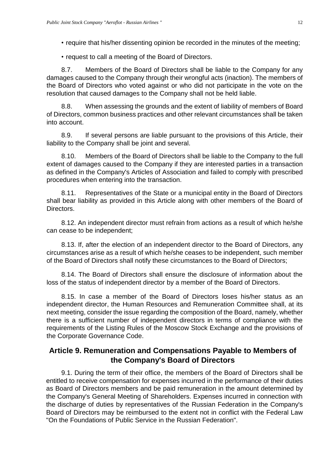- require that his/her dissenting opinion be recorded in the minutes of the meeting;
- request to call a meeting of the Board of Directors.

8.7. Members of the Board of Directors shall be liable to the Company for any damages caused to the Company through their wrongful acts (inaction). The members of the Board of Directors who voted against or who did not participate in the vote on the resolution that caused damages to the Company shall not be held liable.

8.8. When assessing the grounds and the extent of liability of members of Board of Directors, common business practices and other relevant circumstances shall be taken into account.

8.9. If several persons are liable pursuant to the provisions of this Article, their liability to the Company shall be joint and several.

8.10. Members of the Board of Directors shall be liable to the Company to the full extent of damages caused to the Company if they are interested parties in a transaction as defined in the Company's Articles of Association and failed to comply with prescribed procedures when entering into the transaction.

8.11. Representatives of the State or a municipal entity in the Board of Directors shall bear liability as provided in this Article along with other members of the Board of Directors.

8.12. An independent director must refrain from actions as a result of which he/she can cease to be independent;

8.13. If, after the election of an independent director to the Board of Directors, any circumstances arise as a result of which he/she ceases to be independent, such member of the Board of Directors shall notify these circumstances to the Board of Directors;

8.14. The Board of Directors shall ensure the disclosure of information about the loss of the status of independent director by a member of the Board of Directors.

8.15. In case a member of the Board of Directors loses his/her status as an independent director, the Human Resources and Remuneration Committee shall, at its next meeting, consider the issue regarding the composition of the Board, namely, whether there is a sufficient number of independent directors in terms of compliance with the requirements of the Listing Rules of the Moscow Stock Exchange and the provisions of the Corporate Governance Code.

# <span id="page-11-0"></span>**Article 9. Remuneration and Compensations Payable to Members of the Company's Board of Directors**

9.1. During the term of their office, the members of the Board of Directors shall be entitled to receive compensation for expenses incurred in the performance of their duties as Board of Directors members and be paid remuneration in the amount determined by the Company's General Meeting of Shareholders. Expenses incurred in connection with the discharge of duties by representatives of the Russian Federation in the Company's Board of Directors may be reimbursed to the extent not in conflict with the Federal Law "On the Foundations of Public Service in the Russian Federation".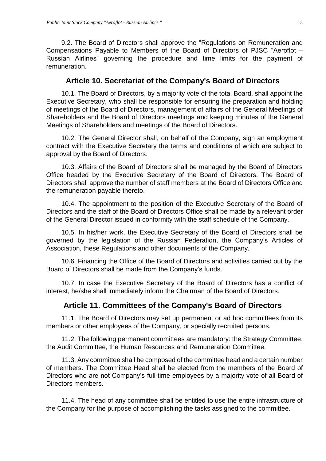9.2. The Board of Directors shall approve the "Regulations on Remuneration and Compensations Payable to Members of the Board of Directors of PJSC "Aeroflot – Russian Airlines" governing the procedure and time limits for the payment of remuneration.

#### **Article 10. Secretariat of the Company's Board of Directors**

<span id="page-12-0"></span>10.1. The Board of Directors, by a majority vote of the total Board, shall appoint the Executive Secretary, who shall be responsible for ensuring the preparation and holding of meetings of the Board of Directors, management of affairs of the General Meetings of Shareholders and the Board of Directors meetings and keeping minutes of the General Meetings of Shareholders and meetings of the Board of Directors.

10.2. The General Director shall, on behalf of the Company, sign an employment contract with the Executive Secretary the terms and conditions of which are subject to approval by the Board of Directors.

10.3. Affairs of the Board of Directors shall be managed by the Board of Directors Office headed by the Executive Secretary of the Board of Directors. The Board of Directors shall approve the number of staff members at the Board of Directors Office and the remuneration payable thereto.

10.4. The appointment to the position of the Executive Secretary of the Board of Directors and the staff of the Board of Directors Office shall be made by a relevant order of the General Director issued in conformity with the staff schedule of the Company.

10.5. In his/her work, the Executive Secretary of the Board of Directors shall be governed by the legislation of the Russian Federation, the Company's Articles of Association, these Regulations and other documents of the Company.

10.6. Financing the Office of the Board of Directors and activities carried out by the Board of Directors shall be made from the Company's funds.

10.7. In case the Executive Secretary of the Board of Directors has a conflict of interest, he/she shall immediately inform the Chairman of the Board of Directors.

#### **Article 11. Committees of the Company's Board of Directors**

<span id="page-12-1"></span>11.1. The Board of Directors may set up permanent or ad hoc committees from its members or other employees of the Company, or specially recruited persons.

11.2. The following permanent committees are mandatory: the Strategy Committee, the Audit Committee, the Human Resources and Remuneration Committee.

11.3. Any committee shall be composed of the committee head and a certain number of members. The Committee Head shall be elected from the members of the Board of Directors who are not Company's full-time employees by a majority vote of all Board of Directors members.

11.4. The head of any committee shall be entitled to use the entire infrastructure of the Company for the purpose of accomplishing the tasks assigned to the committee.